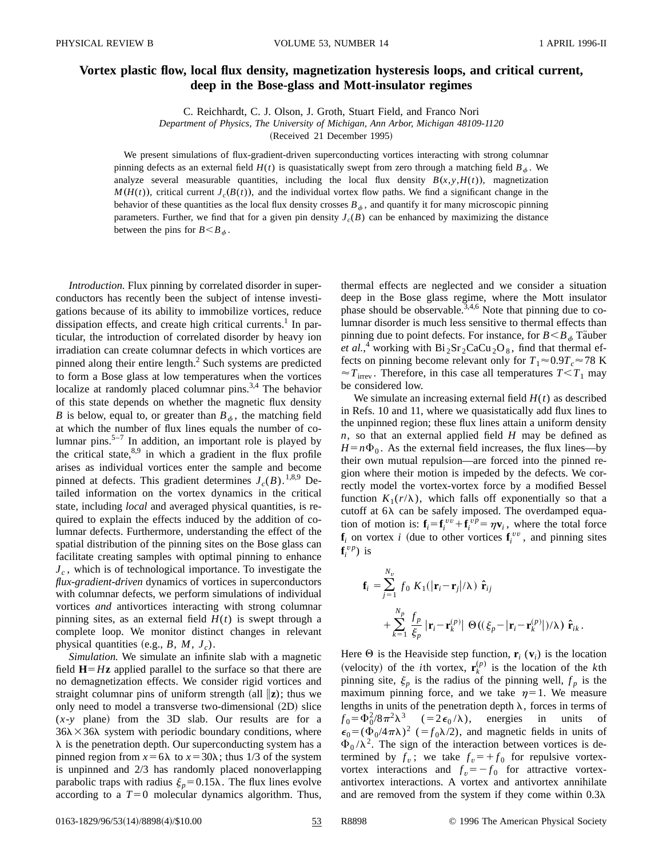## **Vortex plastic flow, local flux density, magnetization hysteresis loops, and critical current, deep in the Bose-glass and Mott-insulator regimes**

C. Reichhardt, C. J. Olson, J. Groth, Stuart Field, and Franco Nori

*Department of Physics, The University of Michigan, Ann Arbor, Michigan 48109-1120*

(Received 21 December 1995)

We present simulations of flux-gradient-driven superconducting vortices interacting with strong columnar pinning defects as an external field  $H(t)$  is quasistatically swept from zero through a matching field  $B_{\phi}$ . We analyze several measurable quantities, including the local flux density  $B(x, y, H(t))$ , magnetization  $M(H(t))$ , critical current  $J_c(B(t))$ , and the individual vortex flow paths. We find a significant change in the behavior of these quantities as the local flux density crosses  $B_{\phi}$ , and quantify it for many microscopic pinning parameters. Further, we find that for a given pin density  $J_c(B)$  can be enhanced by maximizing the distance between the pins for  $B < B_{\phi}$ .

*Introduction.* Flux pinning by correlated disorder in superconductors has recently been the subject of intense investigations because of its ability to immobilize vortices, reduce dissipation effects, and create high critical currents.<sup>1</sup> In particular, the introduction of correlated disorder by heavy ion irradiation can create columnar defects in which vortices are pinned along their entire length.<sup>2</sup> Such systems are predicted to form a Bose glass at low temperatures when the vortices localize at randomly placed columnar pins.<sup>3,4</sup> The behavior of this state depends on whether the magnetic flux density *B* is below, equal to, or greater than  $B_{\phi}$ , the matching field at which the number of flux lines equals the number of columnar pins.<sup>5-7</sup> In addition, an important role is played by the critical state, $8.9$  in which a gradient in the flux profile arises as individual vortices enter the sample and become pinned at defects. This gradient determines  $J_c(B)$ .<sup>1,8,9</sup> Detailed information on the vortex dynamics in the critical state, including *local* and averaged physical quantities, is required to explain the effects induced by the addition of columnar defects. Furthermore, understanding the effect of the spatial distribution of the pinning sites on the Bose glass can facilitate creating samples with optimal pinning to enhance  $J_c$ , which is of technological importance. To investigate the *flux-gradient-driven* dynamics of vortices in superconductors with columnar defects, we perform simulations of individual vortices *and* antivortices interacting with strong columnar pinning sites, as an external field  $H(t)$  is swept through a complete loop. We monitor distinct changes in relevant physical quantities (e.g.,  $B$ ,  $M$ ,  $J_c$ ).

*Simulation.* We simulate an infinite slab with a magnetic field  $H=Hz$  applied parallel to the surface so that there are no demagnetization effects. We consider rigid vortices and straight columnar pins of uniform strength  $(\text{all } \|z)$ ; thus we only need to model a transverse two-dimensional  $(2D)$  slice  $(x-y)$  plane) from the 3D slab. Our results are for a  $36\lambda \times 36\lambda$  system with periodic boundary conditions, where  $\lambda$  is the penetration depth. Our superconducting system has a pinned region from  $x=6\lambda$  to  $x=30\lambda$ ; thus 1/3 of the system is unpinned and 2/3 has randomly placed nonoverlapping parabolic traps with radius  $\xi_p = 0.15\lambda$ . The flux lines evolve according to a  $T=0$  molecular dynamics algorithm. Thus, thermal effects are neglected and we consider a situation deep in the Bose glass regime, where the Mott insulator phase should be observable.<sup>3,4,6</sup> Note that pinning due to columnar disorder is much less sensitive to thermal effects than pinning due to point defects. For instance, for  $B \leq B_{\phi}$  Tauber *et al.*,<sup>4</sup> working with  $Bi_2Sr_2CaCu_2O_8$ , find that thermal effects on pinning become relevant only for  $T_1 \approx 0.9T_c \approx 78$  K  $\approx T$ <sub>irrev</sub>. Therefore, in this case all temperatures  $T < T_1$  may be considered low.

We simulate an increasing external field  $H(t)$  as described in Refs. 10 and 11, where we quasistatically add flux lines to the unpinned region; these flux lines attain a uniform density *n*, so that an external applied field *H* may be defined as  $H = n\Phi_0$ . As the external field increases, the flux lines—by their own mutual repulsion—are forced into the pinned region where their motion is impeded by the defects. We correctly model the vortex-vortex force by a modified Bessel function  $K_1(r/\lambda)$ , which falls off exponentially so that a cutoff at  $6\lambda$  can be safely imposed. The overdamped equation of motion is:  $\mathbf{f}_i = \mathbf{f}_i^{vv} + \mathbf{f}_i^{vp} = \eta \mathbf{v}_i$ , where the total force  $\mathbf{f}_i$  on vortex *i* (due to other vortices  $\mathbf{f}_i^{vv}$ , and pinning sites  $f_i^{vp}$ ) is

$$
\mathbf{f}_{i} = \sum_{j=1}^{N_{v}} f_{0} K_{1}(|\mathbf{r}_{i} - \mathbf{r}_{j}|/\lambda) \hat{\mathbf{r}}_{ij}
$$
  
+ 
$$
\sum_{k=1}^{N_{p}} \frac{f_{p}}{\xi_{p}} |\mathbf{r}_{i} - \mathbf{r}_{k}^{(p)}| \Theta((\xi_{p} - |\mathbf{r}_{i} - \mathbf{r}_{k}^{(p)}|)/\lambda) \hat{\mathbf{r}}_{ik}.
$$

Here  $\Theta$  is the Heaviside step function,  $\mathbf{r}_i$  ( $\mathbf{v}_i$ ) is the location (velocity) of the *i*th vortex,  $\mathbf{r}_k^{(p)}$  is the location of the *k*th pinning site,  $\xi_p$  is the radius of the pinning well,  $f_p$  is the maximum pinning force, and we take  $\eta=1$ . We measure lengths in units of the penetration depth  $\lambda$ , forces in terms of  $f_0 = \Phi_0^2$  $(=2\epsilon_0/\lambda)$ , energies in units of  $\epsilon_0 = (\Phi_0/4\pi\lambda)^2$  (=f<sub>0</sub> $\lambda$ /2), and magnetic fields in units of  $\Phi_0 / \lambda^2$ . The sign of the interaction between vortices is determined by  $f_v$ ; we take  $f_v = +f_0$  for repulsive vortexvortex interactions and  $f_v = -f_0$  for attractive vortexantivortex interactions. A vortex and antivortex annihilate and are removed from the system if they come within  $0.3\lambda$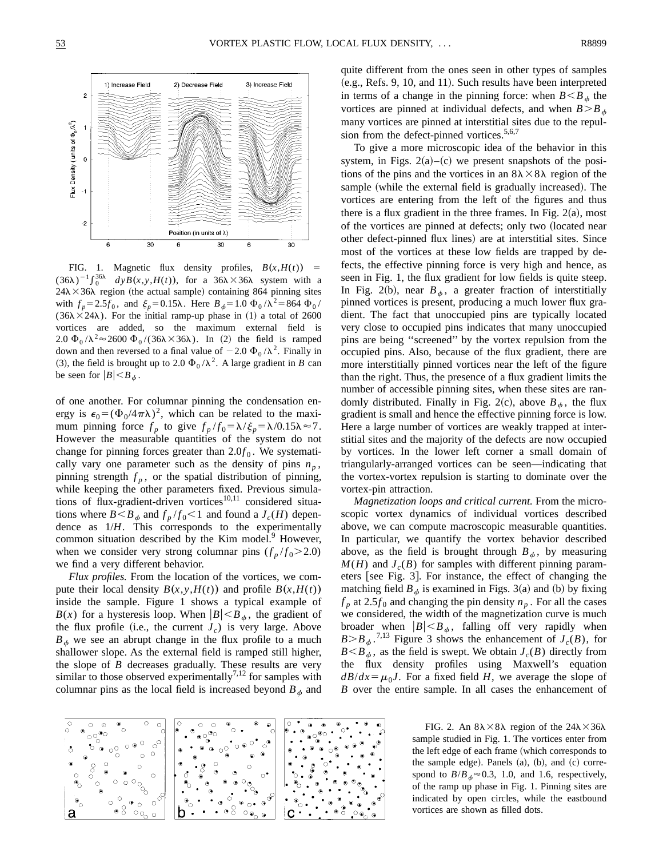

FIG. 1. Magnetic flux density profiles,  $B(x, H(t))$  =  $(36\lambda)^{-1} \int_0^{36\lambda} dy B(x, y, H(t))$ , for a  $36\lambda \times 36\lambda$  system with a  $24\lambda \times 36\lambda$  region (the actual sample) containing 864 pinning sites with  $f_p = 2.5f_0$ , and  $\xi_p = 0.15\lambda$ . Here  $B_{\phi} = 1.0 \Phi_0 / \lambda^2 = 864 \Phi_0 / \lambda^2$ ( $36\lambda \times 24\lambda$ ). For the initial ramp-up phase in (1) a total of 2600 vortices are added, so the maximum external field is 2.0  $\Phi_0 / \lambda^2 \approx 2600 \Phi_0 / (36\lambda \times 36\lambda)$ . In (2) the field is ramped down and then reversed to a final value of  $-2.0 \Phi_0 / \lambda^2$ . Finally in (3), the field is brought up to 2.0  $\Phi_0 / \lambda^2$ . A large gradient in *B* can be seen for  $|B| < B_\phi$ .

of one another. For columnar pinning the condensation energy is  $\epsilon_0 = (\Phi_0/4\pi\lambda)^2$ , which can be related to the maximum pinning force  $f_p$  to give  $f_p/f_0 = \lambda/\xi_p = \lambda/0.15\lambda \approx 7$ . However the measurable quantities of the system do not change for pinning forces greater than  $2.0f_0$ . We systematically vary one parameter such as the density of pins  $n_p$ , pinning strength  $f_p$ , or the spatial distribution of pinning, while keeping the other parameters fixed. Previous simulations of flux-gradient-driven vortices $10,11$  considered situations where  $B \leq B_{\phi}$  and  $f_p/f_0 \leq 1$  and found a  $J_c(H)$  dependence as 1/*H*. This corresponds to the experimentally common situation described by the Kim model.<sup>9</sup> However, when we consider very strong columnar pins  $(f_p/f_0 > 2.0)$ we find a very different behavior.

*Flux profiles.* From the location of the vortices, we compute their local density  $B(x, y, H(t))$  and profile  $B(x, H(t))$ inside the sample. Figure 1 shows a typical example of  $B(x)$  for a hysteresis loop. When  $|B| \leq B_{\phi}$ , the gradient of the flux profile (i.e., the current  $J_c$ ) is very large. Above  $B_{\phi}$  we see an abrupt change in the flux profile to a much shallower slope. As the external field is ramped still higher, the slope of *B* decreases gradually. These results are very similar to those observed experimentally<sup>7,12</sup> for samples with columnar pins as the local field is increased beyond  $B_{\phi}$  and quite different from the ones seen in other types of samples  $(e.g., Refs. 9, 10, and 11).$  Such results have been interpreted in terms of a change in the pinning force: when  $B \leq B_{\phi}$  the vortices are pinned at individual defects, and when  $B > B_{\phi}$ many vortices are pinned at interstitial sites due to the repulsion from the defect-pinned vortices. $5,6,7$ 

To give a more microscopic idea of the behavior in this system, in Figs.  $2(a)$ – $(c)$  we present snapshots of the positions of the pins and the vortices in an  $8\lambda \times 8\lambda$  region of the sample (while the external field is gradually increased). The vortices are entering from the left of the figures and thus there is a flux gradient in the three frames. In Fig.  $2(a)$ , most of the vortices are pinned at defects; only two (located near other defect-pinned flux lines) are at interstitial sites. Since most of the vortices at these low fields are trapped by defects, the effective pinning force is very high and hence, as seen in Fig. 1, the flux gradient for low fields is quite steep. In Fig. 2(b), near  $B_{\phi}$ , a greater fraction of interstitially pinned vortices is present, producing a much lower flux gradient. The fact that unoccupied pins are typically located very close to occupied pins indicates that many unoccupied pins are being ''screened'' by the vortex repulsion from the occupied pins. Also, because of the flux gradient, there are more interstitially pinned vortices near the left of the figure than the right. Thus, the presence of a flux gradient limits the number of accessible pinning sites, when these sites are randomly distributed. Finally in Fig. 2(c), above  $B_{\phi}$ , the flux gradient is small and hence the effective pinning force is low. Here a large number of vortices are weakly trapped at interstitial sites and the majority of the defects are now occupied by vortices. In the lower left corner a small domain of triangularly-arranged vortices can be seen—indicating that the vortex-vortex repulsion is starting to dominate over the vortex-pin attraction.

*Magnetization loops and critical current.* From the microscopic vortex dynamics of individual vortices described above, we can compute macroscopic measurable quantities. In particular, we quantify the vortex behavior described above, as the field is brought through  $B_{\phi}$ , by measuring  $M(H)$  and  $J_c(B)$  for samples with different pinning parameters [see Fig. 3]. For instance, the effect of changing the matching field  $B_{\phi}$  is examined in Figs. 3(a) and (b) by fixing  $f_p$  at 2.5 $f_0$  and changing the pin density  $n_p$ . For all the cases we considered, the width of the magnetization curve is much broader when  $|B| < B_{\phi}$ , falling off very rapidly when  $B > B_{\phi}$ .<sup>7,13</sup> Figure 3 shows the enhancement of *J<sub>c</sub>*(*B*), for  $B \leq B_{\phi}$ , as the field is swept. We obtain  $J_c(B)$  directly from the flux density profiles using Maxwell's equation  $dB/dx = \mu_0 J$ . For a fixed field *H*, we average the slope of *B* over the entire sample. In all cases the enhancement of



FIG. 2. An  $8\lambda \times 8\lambda$  region of the  $24\lambda \times 36\lambda$ sample studied in Fig. 1. The vortices enter from the left edge of each frame (which corresponds to the sample edge). Panels  $(a)$ ,  $(b)$ , and  $(c)$  correspond to  $B/B_{\phi} \approx 0.3$ , 1.0, and 1.6, respectively, of the ramp up phase in Fig. 1. Pinning sites are indicated by open circles, while the eastbound vortices are shown as filled dots.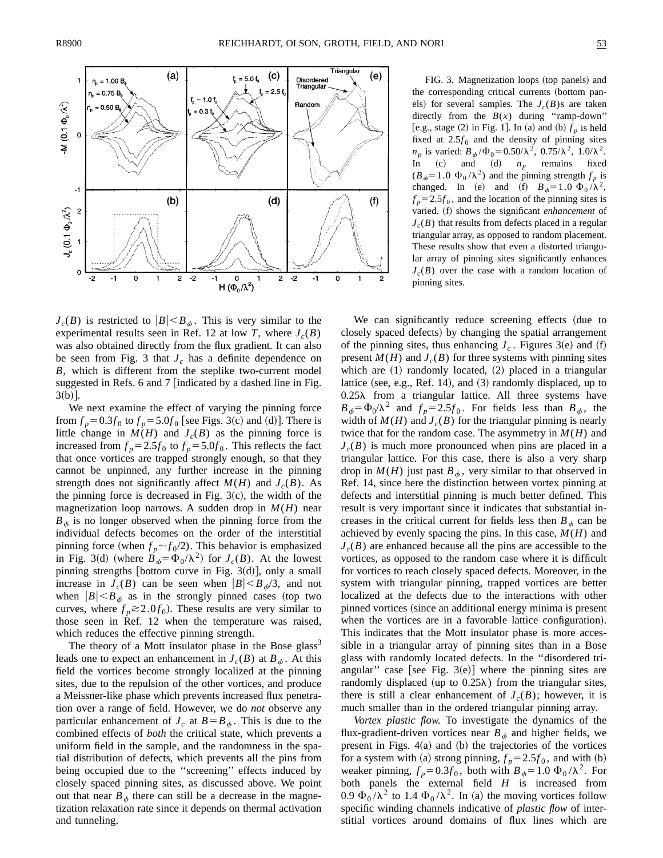

We next examine the effect of varying the pinning force from  $f_p = 0.3 f_0$  to  $f_p = 5.0 f_0$  [see Figs. 3(c) and (d)]. There is little change in  $M(H)$  and  $J_c(B)$  as the pinning force is increased from  $f_p = 2.5f_0$  to  $f_p = 5.0f_0$ . This reflects the fact that once vortices are trapped strongly enough, so that they cannot be unpinned, any further increase in the pinning strength does not significantly affect  $M(H)$  and  $J_c(B)$ . As the pinning force is decreased in Fig.  $3(c)$ , the width of the magnetization loop narrows. A sudden drop in  $M(H)$  near  $B_{\phi}$  is no longer observed when the pinning force from the individual defects becomes on the order of the interstitial pinning force (when  $f_p \sim f_0/2$ ). This behavior is emphasized in Fig. 3(d) (where  $B_{\phi} = \Phi_0/\lambda^2$ ) for  $J_c(B)$ . At the lowest pinning strengths [bottom curve in Fig. 3 $(d)$ ], only a small increase in  $J_c(B)$  can be seen when  $|B| \leq B_{\phi}/3$ , and not when  $|B| < B_{\phi}$  as in the strongly pinned cases (top two curves, where  $f_p \ge 2.0 f_0$ ). These results are very similar to those seen in Ref. 12 when the temperature was raised, which reduces the effective pinning strength.

The theory of a Mott insulator phase in the Bose glass<sup>3</sup> leads one to expect an enhancement in  $J_c(B)$  at  $B_{\phi}$ . At this field the vortices become strongly localized at the pinning sites, due to the repulsion of the other vortices, and produce a Meissner-like phase which prevents increased flux penetration over a range of field. However, we do *not* observe any particular enhancement of  $J_c$  at  $B = B_{\phi}$ . This is due to the combined effects of *both* the critical state, which prevents a uniform field in the sample, and the randomness in the spatial distribution of defects, which prevents all the pins from being occupied due to the ''screening'' effects induced by closely spaced pinning sites, as discussed above. We point out that near  $B_{\phi}$  there can still be a decrease in the magnetization relaxation rate since it depends on thermal activation and tunneling.

FIG. 3. Magnetization loops (top panels) and the corresponding critical currents (bottom panels) for several samples. The  $J_c(B)$ s are taken directly from the  $B(x)$  during "ramp-down" [e.g., stage  $(2)$  in Fig. 1]. In  $(a)$  and  $(b)$   $f<sub>p</sub>$  is held fixed at  $2.5f_0$  and the density of pinning sites *n<sub>p</sub>* is varied:  $B_{\phi}/\Phi_0 = 0.50/\lambda^2$ ,  $0.75/\lambda^2$ ,  $1.0/\lambda^2$ .<br>
In (c) and (d) *n<sub>n</sub>* remains fixed  $\int$  (c) and (d)  $n_p$  remains fixed  $(B_\phi=1.0 \Phi_0/\lambda^2)$  and the pinning strength  $f_p$  is changed. In (e) and (f)  $B_{\phi}=1.0 \Phi_0/\lambda^2$ ,

 $f_p = 2.5f_0$ , and the location of the pinning sites is varied. (f) shows the significant *enhancement* of  $J_c(B)$  that results from defects placed in a regular triangular array, as opposed to random placement. These results show that even a distorted triangular array of pinning sites significantly enhances  $J_c(B)$  over the case with a random location of

We can significantly reduce screening effects (due to closely spaced defects) by changing the spatial arrangement of the pinning sites, thus enhancing  $J_c$ . Figures 3(e) and (f) present  $M(H)$  and  $J_c(B)$  for three systems with pinning sites which are  $(1)$  randomly located,  $(2)$  placed in a triangular lattice (see, e.g., Ref. 14), and  $(3)$  randomly displaced, up to  $0.25\lambda$  from a triangular lattice. All three systems have  $B_{\phi} = \Phi_0 / \lambda^2$  and  $f_p = 2.5 f_0$ . For fields less than  $B_{\phi}$ , the width of  $M(H)$  and  $J_c(B)$  for the triangular pinning is nearly twice that for the random case. The asymmetry in  $M(H)$  and  $J_c(B)$  is much more pronounced when pins are placed in a triangular lattice. For this case, there is also a very sharp drop in  $M(H)$  just past  $B_{\phi}$ , very similar to that observed in Ref. 14, since here the distinction between vortex pinning at defects and interstitial pinning is much better defined. This result is very important since it indicates that substantial increases in the critical current for fields less then  $B_{\phi}$  can be achieved by evenly spacing the pins. In this case, *M*(*H*) and  $J_c(B)$  are enhanced because all the pins are accessible to the vortices, as opposed to the random case where it is difficult for vortices to reach closely spaced defects. Moreover, in the system with triangular pinning, trapped vortices are better localized at the defects due to the interactions with other pinned vortices (since an additional energy minima is present when the vortices are in a favorable lattice configuration). This indicates that the Mott insulator phase is more accessible in a triangular array of pinning sites than in a Bose glass with randomly located defects. In the ''disordered triangular" case [see Fig.  $3(e)$ ] where the pinning sites are randomly displaced (up to  $0.25\lambda$ ) from the triangular sites, there is still a clear enhancement of  $J_c(B)$ ; however, it is much smaller than in the ordered triangular pinning array.

pinning sites.

*Vortex plastic flow.* To investigate the dynamics of the flux-gradient-driven vortices near  $B_{\phi}$  and higher fields, we present in Figs.  $4(a)$  and  $(b)$  the trajectories of the vortices for a system with (a) strong pinning,  $f_p = 2.5f_0$ , and with (b) weaker pinning,  $f_p = 0.3 f_0$ , both with  $B_{\phi} = 1.0 \Phi_0 / \lambda^2$ . For both panels the external field *H* is increased from 0.9  $\Phi_0 / \lambda^2$  to 1.4  $\Phi_0 / \lambda^2$ . In (a) the moving vortices follow specific winding channels indicative of *plastic flow* of interstitial vortices around domains of flux lines which are